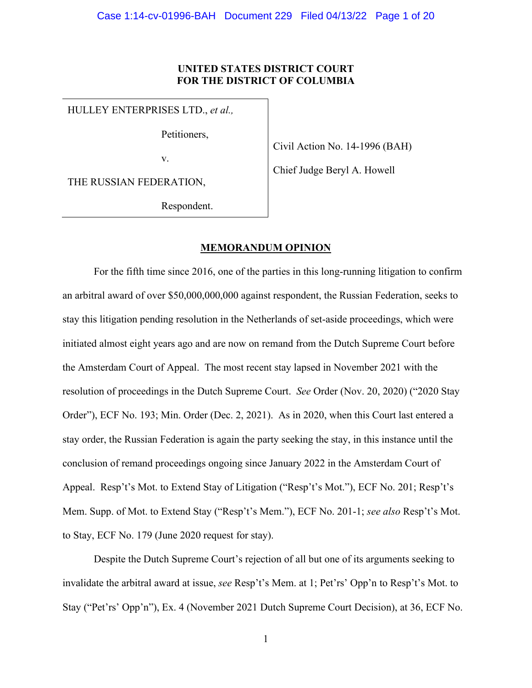# **UNITED STATES DISTRICT COURT FOR THE DISTRICT OF COLUMBIA**

HULLEY ENTERPRISES LTD., *et al.,*

Petitioners,

v.

Civil Action No. 14-1996 (BAH)

Chief Judge Beryl A. Howell

THE RUSSIAN FEDERATION,

Respondent.

# **MEMORANDUM OPINION**

For the fifth time since 2016, one of the parties in this long-running litigation to confirm an arbitral award of over \$50,000,000,000 against respondent, the Russian Federation, seeks to stay this litigation pending resolution in the Netherlands of set-aside proceedings, which were initiated almost eight years ago and are now on remand from the Dutch Supreme Court before the Amsterdam Court of Appeal. The most recent stay lapsed in November 2021 with the resolution of proceedings in the Dutch Supreme Court. *See* Order (Nov. 20, 2020) ("2020 Stay Order"), ECF No. 193; Min. Order (Dec. 2, 2021). As in 2020, when this Court last entered a stay order, the Russian Federation is again the party seeking the stay, in this instance until the conclusion of remand proceedings ongoing since January 2022 in the Amsterdam Court of Appeal. Resp't's Mot. to Extend Stay of Litigation ("Resp't's Mot."), ECF No. 201; Resp't's Mem. Supp. of Mot. to Extend Stay ("Resp't's Mem."), ECF No. 201-1; *see also* Resp't's Mot. to Stay, ECF No. 179 (June 2020 request for stay).

Despite the Dutch Supreme Court's rejection of all but one of its arguments seeking to invalidate the arbitral award at issue, *see* Resp't's Mem. at 1; Pet'rs' Opp'n to Resp't's Mot. to Stay ("Pet'rs' Opp'n"), Ex. 4 (November 2021 Dutch Supreme Court Decision), at 36, ECF No.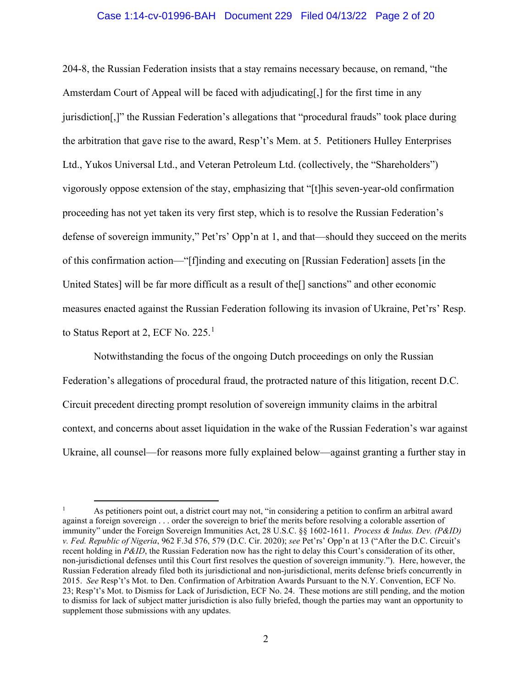# Case 1:14-cv-01996-BAH Document 229 Filed 04/13/22 Page 2 of 20

204-8, the Russian Federation insists that a stay remains necessary because, on remand, "the Amsterdam Court of Appeal will be faced with adjudicating[,] for the first time in any jurisdiction[,]" the Russian Federation's allegations that "procedural frauds" took place during the arbitration that gave rise to the award, Resp't's Mem. at 5. Petitioners Hulley Enterprises Ltd., Yukos Universal Ltd., and Veteran Petroleum Ltd. (collectively, the "Shareholders") vigorously oppose extension of the stay, emphasizing that "[t]his seven-year-old confirmation proceeding has not yet taken its very first step, which is to resolve the Russian Federation's defense of sovereign immunity," Pet'rs' Opp'n at 1, and that—should they succeed on the merits of this confirmation action—"[f]inding and executing on [Russian Federation] assets [in the United States] will be far more difficult as a result of the [] sanctions" and other economic measures enacted against the Russian Federation following its invasion of Ukraine, Pet'rs' Resp. to Status Report at 2, ECF No. 225.<sup>[1](#page-1-0)</sup>

Notwithstanding the focus of the ongoing Dutch proceedings on only the Russian Federation's allegations of procedural fraud, the protracted nature of this litigation, recent D.C. Circuit precedent directing prompt resolution of sovereign immunity claims in the arbitral context, and concerns about asset liquidation in the wake of the Russian Federation's war against Ukraine, all counsel—for reasons more fully explained below—against granting a further stay in

<span id="page-1-0"></span><sup>1</sup> As petitioners point out, a district court may not, "in considering a petition to confirm an arbitral award against a foreign sovereign . . . order the sovereign to brief the merits before resolving a colorable assertion of immunity" under the Foreign Sovereign Immunities Act, 28 U.S.C. §§ 1602-1611. *Process & Indus. Dev. (P&ID) v. Fed. Republic of Nigeria*, 962 F.3d 576, 579 (D.C. Cir. 2020); *see* Pet'rs' Opp'n at 13 ("After the D.C. Circuit's recent holding in *P&ID*, the Russian Federation now has the right to delay this Court's consideration of its other, non-jurisdictional defenses until this Court first resolves the question of sovereign immunity."). Here, however, the Russian Federation already filed both its jurisdictional and non-jurisdictional, merits defense briefs concurrently in 2015. *See* Resp't's Mot. to Den. Confirmation of Arbitration Awards Pursuant to the N.Y. Convention, ECF No. 23; Resp't's Mot. to Dismiss for Lack of Jurisdiction, ECF No. 24. These motions are still pending, and the motion to dismiss for lack of subject matter jurisdiction is also fully briefed, though the parties may want an opportunity to supplement those submissions with any updates.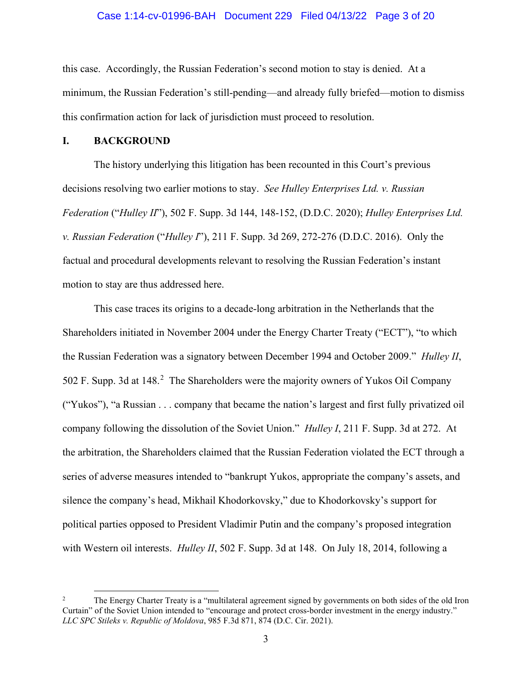## Case 1:14-cv-01996-BAH Document 229 Filed 04/13/22 Page 3 of 20

this case. Accordingly, the Russian Federation's second motion to stay is denied. At a minimum, the Russian Federation's still-pending—and already fully briefed—motion to dismiss this confirmation action for lack of jurisdiction must proceed to resolution.

# **I. BACKGROUND**

The history underlying this litigation has been recounted in this Court's previous decisions resolving two earlier motions to stay. *See Hulley Enterprises Ltd. v. Russian Federation* ("*Hulley II*"), 502 F. Supp. 3d 144, 148-152, (D.D.C. 2020); *Hulley Enterprises Ltd. v. Russian Federation* ("*Hulley I*"), 211 F. Supp. 3d 269, 272-276 (D.D.C. 2016). Only the factual and procedural developments relevant to resolving the Russian Federation's instant motion to stay are thus addressed here.

This case traces its origins to a decade-long arbitration in the Netherlands that the Shareholders initiated in November 2004 under the Energy Charter Treaty ("ECT"), "to which the Russian Federation was a signatory between December 1994 and October 2009." *Hulley II*, 50[2](#page-2-0) F. Supp. 3d at 148.<sup>2</sup> The Shareholders were the majority owners of Yukos Oil Company ("Yukos"), "a Russian . . . company that became the nation's largest and first fully privatized oil company following the dissolution of the Soviet Union." *Hulley I*, 211 F. Supp. 3d at 272. At the arbitration, the Shareholders claimed that the Russian Federation violated the ECT through a series of adverse measures intended to "bankrupt Yukos, appropriate the company's assets, and silence the company's head, Mikhail Khodorkovsky," due to Khodorkovsky's support for political parties opposed to President Vladimir Putin and the company's proposed integration with Western oil interests. *Hulley II*, 502 F. Supp. 3d at 148. On July 18, 2014, following a

<span id="page-2-0"></span><sup>2</sup> The Energy Charter Treaty is a "multilateral agreement signed by governments on both sides of the old Iron Curtain" of the Soviet Union intended to "encourage and protect cross-border investment in the energy industry." *LLC SPC Stileks v. Republic of Moldova*, 985 F.3d 871, 874 (D.C. Cir. 2021).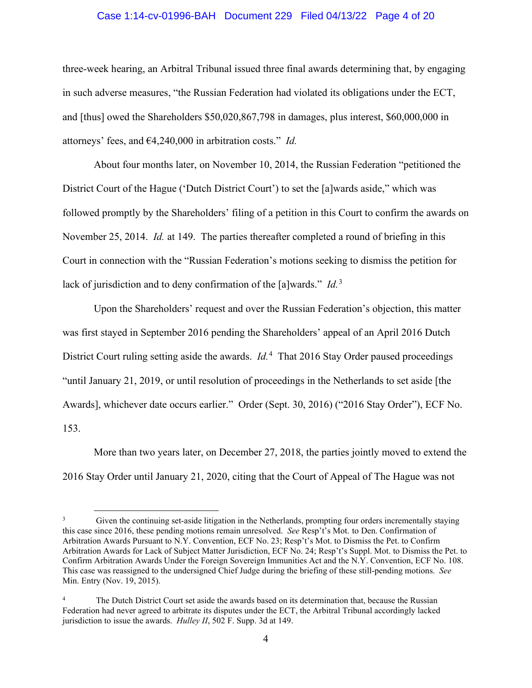# Case 1:14-cv-01996-BAH Document 229 Filed 04/13/22 Page 4 of 20

three-week hearing, an Arbitral Tribunal issued three final awards determining that, by engaging in such adverse measures, "the Russian Federation had violated its obligations under the ECT, and [thus] owed the Shareholders \$50,020,867,798 in damages, plus interest, \$60,000,000 in attorneys' fees, and €4,240,000 in arbitration costs." *Id.*

About four months later, on November 10, 2014, the Russian Federation "petitioned the District Court of the Hague ('Dutch District Court') to set the [a]wards aside," which was followed promptly by the Shareholders' filing of a petition in this Court to confirm the awards on November 25, 2014. *Id.* at 149. The parties thereafter completed a round of briefing in this Court in connection with the "Russian Federation's motions seeking to dismiss the petition for lack of jurisdiction and to deny confirmation of the [a]wards." *Id.* [3](#page-3-0)

Upon the Shareholders' request and over the Russian Federation's objection, this matter was first stayed in September 2016 pending the Shareholders' appeal of an April 2016 Dutch District Court ruling setting aside the awards. *Id.*[4](#page-3-1) That 2016 Stay Order paused proceedings "until January 21, 2019, or until resolution of proceedings in the Netherlands to set aside [the Awards], whichever date occurs earlier." Order (Sept. 30, 2016) ("2016 Stay Order"), ECF No. 153.

More than two years later, on December 27, 2018, the parties jointly moved to extend the 2016 Stay Order until January 21, 2020, citing that the Court of Appeal of The Hague was not

<span id="page-3-0"></span>Given the continuing set-aside litigation in the Netherlands, prompting four orders incrementally staying this case since 2016, these pending motions remain unresolved. *See* Resp't's Mot. to Den. Confirmation of Arbitration Awards Pursuant to N.Y. Convention, ECF No. 23; Resp't's Mot. to Dismiss the Pet. to Confirm Arbitration Awards for Lack of Subject Matter Jurisdiction, ECF No. 24; Resp't's Suppl. Mot. to Dismiss the Pet. to Confirm Arbitration Awards Under the Foreign Sovereign Immunities Act and the N.Y. Convention, ECF No. 108. This case was reassigned to the undersigned Chief Judge during the briefing of these still-pending motions. *See*  Min. Entry (Nov. 19, 2015).

<span id="page-3-1"></span>The Dutch District Court set aside the awards based on its determination that, because the Russian Federation had never agreed to arbitrate its disputes under the ECT, the Arbitral Tribunal accordingly lacked jurisdiction to issue the awards. *Hulley II*, 502 F. Supp. 3d at 149.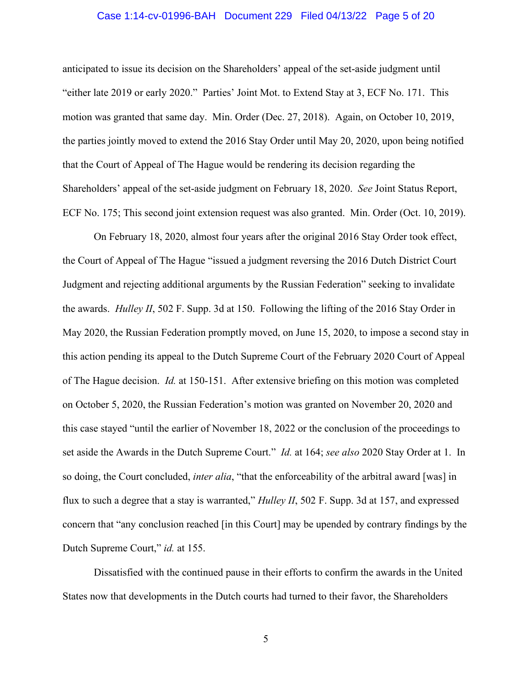# Case 1:14-cv-01996-BAH Document 229 Filed 04/13/22 Page 5 of 20

anticipated to issue its decision on the Shareholders' appeal of the set-aside judgment until "either late 2019 or early 2020." Parties' Joint Mot. to Extend Stay at 3, ECF No. 171. This motion was granted that same day. Min. Order (Dec. 27, 2018). Again, on October 10, 2019, the parties jointly moved to extend the 2016 Stay Order until May 20, 2020, upon being notified that the Court of Appeal of The Hague would be rendering its decision regarding the Shareholders' appeal of the set-aside judgment on February 18, 2020. *See* Joint Status Report, ECF No. 175; This second joint extension request was also granted. Min. Order (Oct. 10, 2019).

On February 18, 2020, almost four years after the original 2016 Stay Order took effect, the Court of Appeal of The Hague "issued a judgment reversing the 2016 Dutch District Court Judgment and rejecting additional arguments by the Russian Federation" seeking to invalidate the awards. *Hulley II*, 502 F. Supp. 3d at 150. Following the lifting of the 2016 Stay Order in May 2020, the Russian Federation promptly moved, on June 15, 2020, to impose a second stay in this action pending its appeal to the Dutch Supreme Court of the February 2020 Court of Appeal of The Hague decision. *Id.* at 150-151. After extensive briefing on this motion was completed on October 5, 2020, the Russian Federation's motion was granted on November 20, 2020 and this case stayed "until the earlier of November 18, 2022 or the conclusion of the proceedings to set aside the Awards in the Dutch Supreme Court." *Id.* at 164; *see also* 2020 Stay Order at 1. In so doing, the Court concluded, *inter alia*, "that the enforceability of the arbitral award [was] in flux to such a degree that a stay is warranted," *Hulley II*, 502 F. Supp. 3d at 157, and expressed concern that "any conclusion reached [in this Court] may be upended by contrary findings by the Dutch Supreme Court," *id.* at 155.

Dissatisfied with the continued pause in their efforts to confirm the awards in the United States now that developments in the Dutch courts had turned to their favor, the Shareholders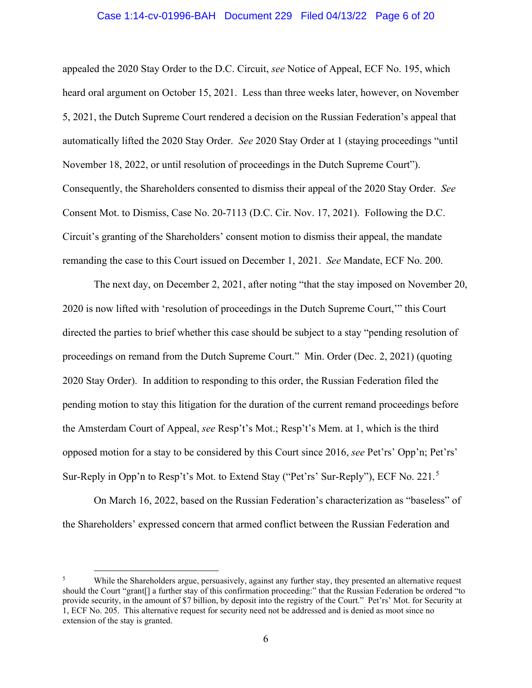# Case 1:14-cv-01996-BAH Document 229 Filed 04/13/22 Page 6 of 20

appealed the 2020 Stay Order to the D.C. Circuit, *see* Notice of Appeal, ECF No. 195, which heard oral argument on October 15, 2021. Less than three weeks later, however, on November 5, 2021, the Dutch Supreme Court rendered a decision on the Russian Federation's appeal that automatically lifted the 2020 Stay Order. *See* 2020 Stay Order at 1 (staying proceedings "until November 18, 2022, or until resolution of proceedings in the Dutch Supreme Court"). Consequently, the Shareholders consented to dismiss their appeal of the 2020 Stay Order. *See* Consent Mot. to Dismiss, Case No. 20-7113 (D.C. Cir. Nov. 17, 2021). Following the D.C. Circuit's granting of the Shareholders' consent motion to dismiss their appeal, the mandate remanding the case to this Court issued on December 1, 2021. *See* Mandate, ECF No. 200.

The next day, on December 2, 2021, after noting "that the stay imposed on November 20, 2020 is now lifted with 'resolution of proceedings in the Dutch Supreme Court,'" this Court directed the parties to brief whether this case should be subject to a stay "pending resolution of proceedings on remand from the Dutch Supreme Court." Min. Order (Dec. 2, 2021) (quoting 2020 Stay Order). In addition to responding to this order, the Russian Federation filed the pending motion to stay this litigation for the duration of the current remand proceedings before the Amsterdam Court of Appeal, *see* Resp't's Mot.; Resp't's Mem. at 1, which is the third opposed motion for a stay to be considered by this Court since 2016, *see* Pet'rs' Opp'n; Pet'rs' Sur-Reply in Opp'n to Resp't's Mot. to Extend Stay ("Pet'rs' Sur-Reply"), ECF No. 221.<sup>[5](#page-5-0)</sup>

On March 16, 2022, based on the Russian Federation's characterization as "baseless" of the Shareholders' expressed concern that armed conflict between the Russian Federation and

<span id="page-5-0"></span><sup>&</sup>lt;sup>5</sup> While the Shareholders argue, persuasively, against any further stay, they presented an alternative request should the Court "grant[] a further stay of this confirmation proceeding:" that the Russian Federation be ordered "to provide security, in the amount of \$7 billion, by deposit into the registry of the Court." Pet'rs' Mot. for Security at 1, ECF No. 205. This alternative request for security need not be addressed and is denied as moot since no extension of the stay is granted.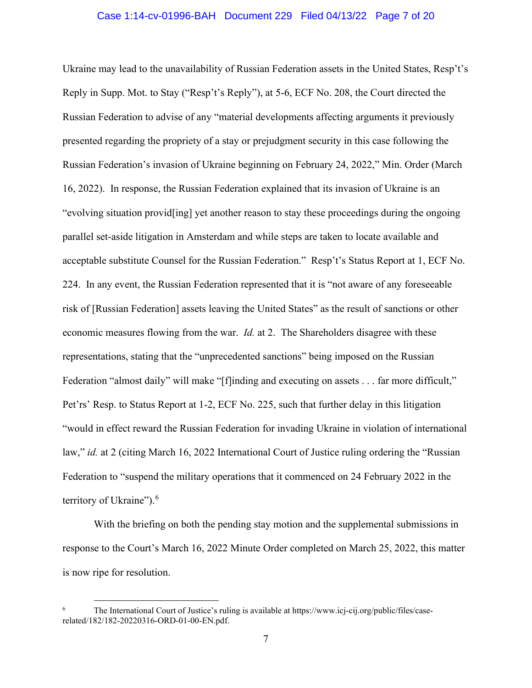## Case 1:14-cv-01996-BAH Document 229 Filed 04/13/22 Page 7 of 20

Ukraine may lead to the unavailability of Russian Federation assets in the United States, Resp't's Reply in Supp. Mot. to Stay ("Resp't's Reply"), at 5-6, ECF No. 208, the Court directed the Russian Federation to advise of any "material developments affecting arguments it previously presented regarding the propriety of a stay or prejudgment security in this case following the Russian Federation's invasion of Ukraine beginning on February 24, 2022," Min. Order (March 16, 2022). In response, the Russian Federation explained that its invasion of Ukraine is an "evolving situation provid[ing] yet another reason to stay these proceedings during the ongoing parallel set-aside litigation in Amsterdam and while steps are taken to locate available and acceptable substitute Counsel for the Russian Federation." Resp't's Status Report at 1, ECF No. 224. In any event, the Russian Federation represented that it is "not aware of any foreseeable risk of [Russian Federation] assets leaving the United States" as the result of sanctions or other economic measures flowing from the war. *Id.* at 2. The Shareholders disagree with these representations, stating that the "unprecedented sanctions" being imposed on the Russian Federation "almost daily" will make "[f]inding and executing on assets . . . far more difficult," Pet'rs' Resp. to Status Report at 1-2, ECF No. 225, such that further delay in this litigation "would in effect reward the Russian Federation for invading Ukraine in violation of international law," *id.* at 2 (citing March 16, 2022 International Court of Justice ruling ordering the "Russian Federation to "suspend the military operations that it commenced on 24 February 2022 in the territory of Ukraine").<sup>[6](#page-6-0)</sup>

With the briefing on both the pending stay motion and the supplemental submissions in response to the Court's March 16, 2022 Minute Order completed on March 25, 2022, this matter is now ripe for resolution.

<span id="page-6-0"></span>The International Court of Justice's ruling is available at https://www.icj-cij.org/public/files/caserelated/182/182-20220316-ORD-01-00-EN.pdf.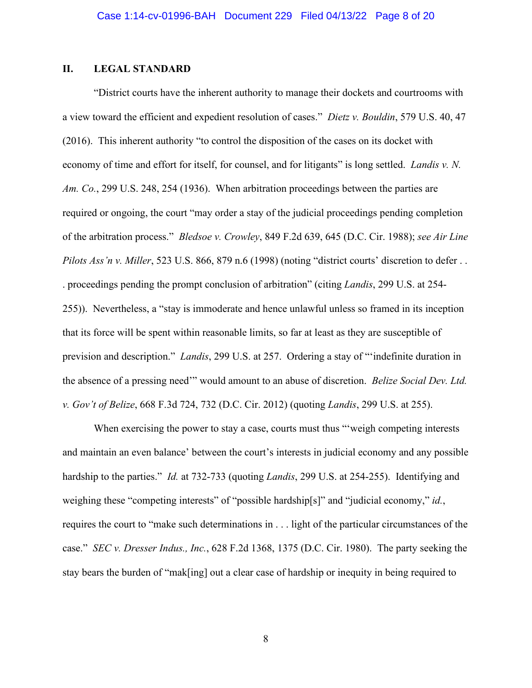# **II. LEGAL STANDARD**

"District courts have the inherent authority to manage their dockets and courtrooms with a view toward the efficient and expedient resolution of cases." *Dietz v. Bouldin*, 579 U.S. 40, 47 (2016). This inherent authority "to control the disposition of the cases on its docket with economy of time and effort for itself, for counsel, and for litigants" is long settled. *Landis v. N. Am. Co.*, 299 U.S. 248, 254 (1936). When arbitration proceedings between the parties are required or ongoing, the court "may order a stay of the judicial proceedings pending completion of the arbitration process." *Bledsoe v. Crowley*, 849 F.2d 639, 645 (D.C. Cir. 1988); *see Air Line Pilots Ass'n v. Miller*, 523 U.S. 866, 879 n.6 (1998) (noting "district courts' discretion to defer . . . proceedings pending the prompt conclusion of arbitration" (citing *Landis*, 299 U.S. at 254- 255)). Nevertheless, a "stay is immoderate and hence unlawful unless so framed in its inception that its force will be spent within reasonable limits, so far at least as they are susceptible of prevision and description." *Landis*, 299 U.S. at 257. Ordering a stay of "'indefinite duration in the absence of a pressing need'" would amount to an abuse of discretion. *Belize Social Dev. Ltd. v. Gov't of Belize*, 668 F.3d 724, 732 (D.C. Cir. 2012) (quoting *Landis*, 299 U.S. at 255).

When exercising the power to stay a case, courts must thus "weigh competing interests" and maintain an even balance' between the court's interests in judicial economy and any possible hardship to the parties." *Id.* at 732-733 (quoting *Landis*, 299 U.S. at 254-255). Identifying and weighing these "competing interests" of "possible hardship[s]" and "judicial economy," *id.*, requires the court to "make such determinations in . . . light of the particular circumstances of the case." *SEC v. Dresser Indus., Inc.*, 628 F.2d 1368, 1375 (D.C. Cir. 1980). The party seeking the stay bears the burden of "mak[ing] out a clear case of hardship or inequity in being required to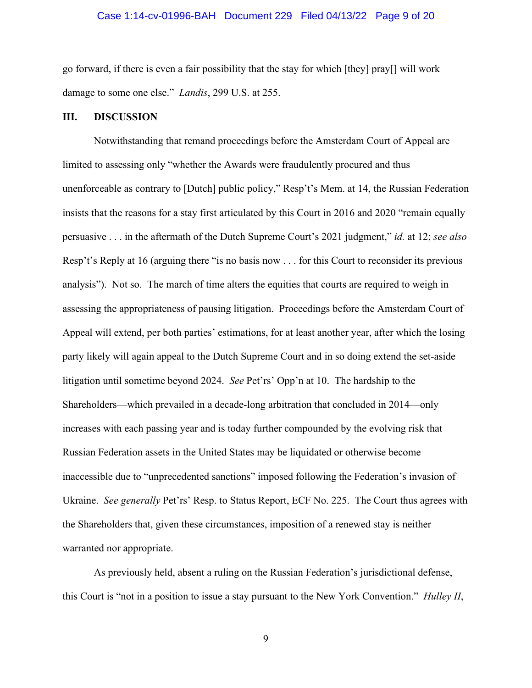# Case 1:14-cv-01996-BAH Document 229 Filed 04/13/22 Page 9 of 20

go forward, if there is even a fair possibility that the stay for which [they] pray[] will work damage to some one else." *Landis*, 299 U.S. at 255.

#### **III. DISCUSSION**

Notwithstanding that remand proceedings before the Amsterdam Court of Appeal are limited to assessing only "whether the Awards were fraudulently procured and thus unenforceable as contrary to [Dutch] public policy," Resp't's Mem. at 14, the Russian Federation insists that the reasons for a stay first articulated by this Court in 2016 and 2020 "remain equally persuasive . . . in the aftermath of the Dutch Supreme Court's 2021 judgment," *id.* at 12; *see also* Resp't's Reply at 16 (arguing there "is no basis now . . . for this Court to reconsider its previous analysis"). Not so. The march of time alters the equities that courts are required to weigh in assessing the appropriateness of pausing litigation. Proceedings before the Amsterdam Court of Appeal will extend, per both parties' estimations, for at least another year, after which the losing party likely will again appeal to the Dutch Supreme Court and in so doing extend the set-aside litigation until sometime beyond 2024. *See* Pet'rs' Opp'n at 10. The hardship to the Shareholders—which prevailed in a decade-long arbitration that concluded in 2014—only increases with each passing year and is today further compounded by the evolving risk that Russian Federation assets in the United States may be liquidated or otherwise become inaccessible due to "unprecedented sanctions" imposed following the Federation's invasion of Ukraine. *See generally* Pet'rs' Resp. to Status Report, ECF No. 225. The Court thus agrees with the Shareholders that, given these circumstances, imposition of a renewed stay is neither warranted nor appropriate.

As previously held, absent a ruling on the Russian Federation's jurisdictional defense, this Court is "not in a position to issue a stay pursuant to the New York Convention." *Hulley II*,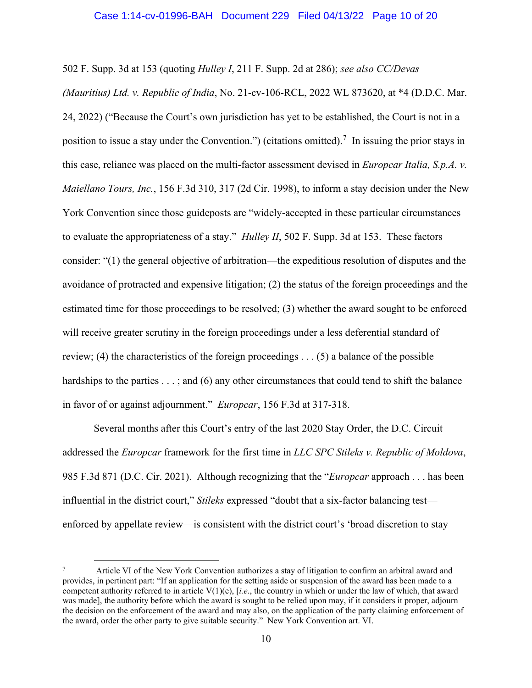502 F. Supp. 3d at 153 (quoting *Hulley I*, 211 F. Supp. 2d at 286); *see also CC/Devas* 

*(Mauritius) Ltd. v. Republic of India*, No. 21-cv-106-RCL, 2022 WL 873620, at \*4 (D.D.C. Mar. 24, 2022) ("Because the Court's own jurisdiction has yet to be established, the Court is not in a position to issue a stay under the Convention.") (citations omitted).<sup>[7](#page-9-0)</sup> In issuing the prior stays in this case, reliance was placed on the multi-factor assessment devised in *Europcar Italia, S.p.A. v. Maiellano Tours, Inc.*, 156 F.3d 310, 317 (2d Cir. 1998), to inform a stay decision under the New York Convention since those guideposts are "widely-accepted in these particular circumstances to evaluate the appropriateness of a stay." *Hulley II*, 502 F. Supp. 3d at 153. These factors consider: "(1) the general objective of arbitration—the expeditious resolution of disputes and the avoidance of protracted and expensive litigation; (2) the status of the foreign proceedings and the estimated time for those proceedings to be resolved; (3) whether the award sought to be enforced will receive greater scrutiny in the foreign proceedings under a less deferential standard of review; (4) the characteristics of the foreign proceedings . . . (5) a balance of the possible hardships to the parties . . .; and (6) any other circumstances that could tend to shift the balance in favor of or against adjournment." *Europcar*, 156 F.3d at 317-318.

Several months after this Court's entry of the last 2020 Stay Order, the D.C. Circuit addressed the *Europcar* framework for the first time in *LLC SPC Stileks v. Republic of Moldova*, 985 F.3d 871 (D.C. Cir. 2021). Although recognizing that the "*Europcar* approach . . . has been influential in the district court," *Stileks* expressed "doubt that a six-factor balancing test enforced by appellate review—is consistent with the district court's 'broad discretion to stay

<span id="page-9-0"></span><sup>7</sup> Article VI of the New York Convention authorizes a stay of litigation to confirm an arbitral award and provides, in pertinent part: "If an application for the setting aside or suspension of the award has been made to a competent authority referred to in article V(1)(e), [*i.e*., the country in which or under the law of which, that award was made], the authority before which the award is sought to be relied upon may, if it considers it proper, adjourn the decision on the enforcement of the award and may also, on the application of the party claiming enforcement of the award, order the other party to give suitable security." New York Convention art. VI.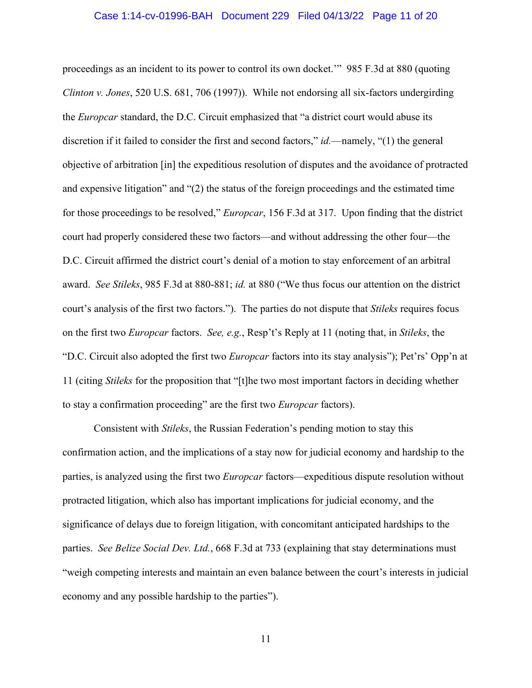### Case 1:14-cv-01996-BAH Document 229 Filed 04/13/22 Page 11 of 20

proceedings as an incident to its power to control its own docket.'" 985 F.3d at 880 (quoting *Clinton v. Jones*, 520 U.S. 681, 706 (1997)). While not endorsing all six-factors undergirding the *Europcar* standard, the D.C. Circuit emphasized that "a district court would abuse its discretion if it failed to consider the first and second factors," *id.*—namely, "(1) the general objective of arbitration [in] the expeditious resolution of disputes and the avoidance of protracted and expensive litigation" and "(2) the status of the foreign proceedings and the estimated time for those proceedings to be resolved," *Europcar*, 156 F.3d at 317. Upon finding that the district court had properly considered these two factors—and without addressing the other four—the D.C. Circuit affirmed the district court's denial of a motion to stay enforcement of an arbitral award. *See Stileks*, 985 F.3d at 880-881; *id.* at 880 ("We thus focus our attention on the district court's analysis of the first two factors."). The parties do not dispute that *Stileks* requires focus on the first two *Europcar* factors. *See, e.g.*, Resp't's Reply at 11 (noting that, in *Stileks*, the "D.C. Circuit also adopted the first two *Europcar* factors into its stay analysis"); Pet'rs' Opp'n at 11 (citing *Stileks* for the proposition that "[t]he two most important factors in deciding whether to stay a confirmation proceeding" are the first two *Europcar* factors).

Consistent with *Stileks*, the Russian Federation's pending motion to stay this confirmation action, and the implications of a stay now for judicial economy and hardship to the parties, is analyzed using the first two *Europcar* factors—expeditious dispute resolution without protracted litigation, which also has important implications for judicial economy, and the significance of delays due to foreign litigation, with concomitant anticipated hardships to the parties. *See Belize Social Dev. Ltd.*, 668 F.3d at 733 (explaining that stay determinations must "weigh competing interests and maintain an even balance between the court's interests in judicial economy and any possible hardship to the parties").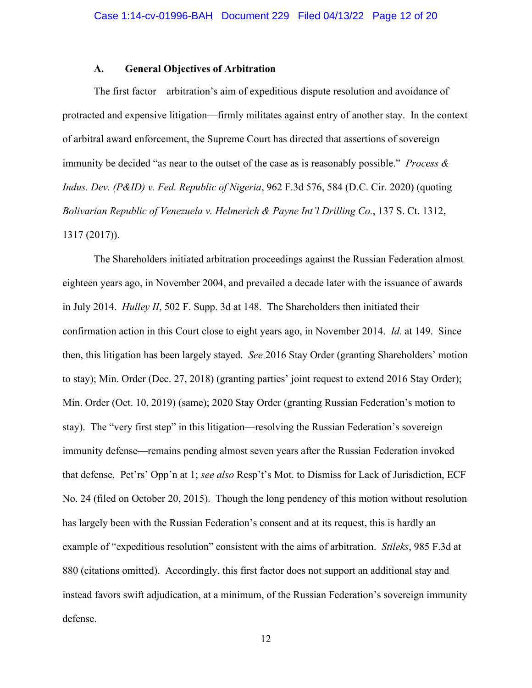# **A. General Objectives of Arbitration**

The first factor—arbitration's aim of expeditious dispute resolution and avoidance of protracted and expensive litigation—firmly militates against entry of another stay. In the context of arbitral award enforcement, the Supreme Court has directed that assertions of sovereign immunity be decided "as near to the outset of the case as is reasonably possible." *Process & Indus. Dev. (P&ID) v. Fed. Republic of Nigeria*, 962 F.3d 576, 584 (D.C. Cir. 2020) (quoting *Bolivarian Republic of Venezuela v. Helmerich & Payne Int'l Drilling Co.*, 137 S. Ct. 1312, 1317 (2017)).

The Shareholders initiated arbitration proceedings against the Russian Federation almost eighteen years ago, in November 2004, and prevailed a decade later with the issuance of awards in July 2014. *Hulley II*, 502 F. Supp. 3d at 148. The Shareholders then initiated their confirmation action in this Court close to eight years ago, in November 2014. *Id.* at 149. Since then, this litigation has been largely stayed. *See* 2016 Stay Order (granting Shareholders' motion to stay); Min. Order (Dec. 27, 2018) (granting parties' joint request to extend 2016 Stay Order); Min. Order (Oct. 10, 2019) (same); 2020 Stay Order (granting Russian Federation's motion to stay). The "very first step" in this litigation—resolving the Russian Federation's sovereign immunity defense—remains pending almost seven years after the Russian Federation invoked that defense. Pet'rs' Opp'n at 1; *see also* Resp't's Mot. to Dismiss for Lack of Jurisdiction, ECF No. 24 (filed on October 20, 2015). Though the long pendency of this motion without resolution has largely been with the Russian Federation's consent and at its request, this is hardly an example of "expeditious resolution" consistent with the aims of arbitration. *Stileks*, 985 F.3d at 880 (citations omitted). Accordingly, this first factor does not support an additional stay and instead favors swift adjudication, at a minimum, of the Russian Federation's sovereign immunity defense.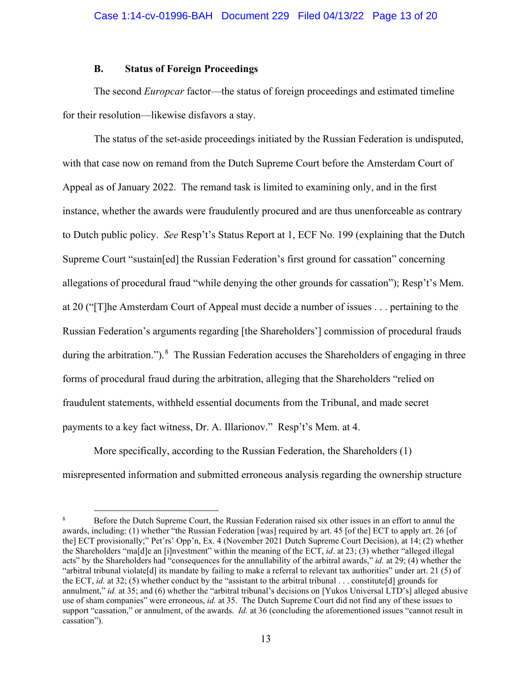# **B. Status of Foreign Proceedings**

The second *Europcar* factor—the status of foreign proceedings and estimated timeline for their resolution—likewise disfavors a stay.

The status of the set-aside proceedings initiated by the Russian Federation is undisputed, with that case now on remand from the Dutch Supreme Court before the Amsterdam Court of Appeal as of January 2022. The remand task is limited to examining only, and in the first instance, whether the awards were fraudulently procured and are thus unenforceable as contrary to Dutch public policy. *See* Resp't's Status Report at 1, ECF No. 199 (explaining that the Dutch Supreme Court "sustain[ed] the Russian Federation's first ground for cassation" concerning allegations of procedural fraud "while denying the other grounds for cassation"); Resp't's Mem. at 20 ("[T]he Amsterdam Court of Appeal must decide a number of issues . . . pertaining to the Russian Federation's arguments regarding [the Shareholders'] commission of procedural frauds during the arbitration.").<sup>[8](#page-12-0)</sup> The Russian Federation accuses the Shareholders of engaging in three forms of procedural fraud during the arbitration, alleging that the Shareholders "relied on fraudulent statements, withheld essential documents from the Tribunal, and made secret payments to a key fact witness, Dr. A. Illarionov." Resp't's Mem. at 4.

More specifically, according to the Russian Federation, the Shareholders (1) misrepresented information and submitted erroneous analysis regarding the ownership structure

<span id="page-12-0"></span><sup>8</sup> Before the Dutch Supreme Court, the Russian Federation raised six other issues in an effort to annul the awards, including: (1) whether "the Russian Federation [was] required by art. 45 [of the] ECT to apply art. 26 [of the] ECT provisionally;" Pet'rs' Opp'n, Ex. 4 (November 2021 Dutch Supreme Court Decision), at 14; (2) whether the Shareholders "ma[d]e an [i]nvestment" within the meaning of the ECT, *id*. at 23; (3) whether "alleged illegal acts" by the Shareholders had "consequences for the annullability of the arbitral awards," *id.* at 29; (4) whether the "arbitral tribunal violate[d] its mandate by failing to make a referral to relevant tax authorities" under art. 21 (5) of the ECT, *id.* at 32; (5) whether conduct by the "assistant to the arbitral tribunal . . . constitute[d] grounds for annulment," *id.* at 35; and (6) whether the "arbitral tribunal's decisions on [Yukos Universal LTD's] alleged abusive use of sham companies" were erroneous, *id.* at 35. The Dutch Supreme Court did not find any of these issues to support "cassation," or annulment, of the awards. *Id.* at 36 (concluding the aforementioned issues "cannot result in cassation").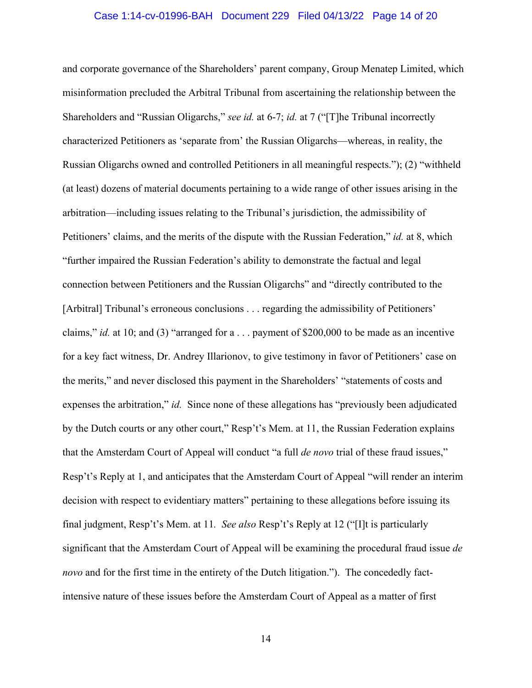## Case 1:14-cv-01996-BAH Document 229 Filed 04/13/22 Page 14 of 20

and corporate governance of the Shareholders' parent company, Group Menatep Limited, which misinformation precluded the Arbitral Tribunal from ascertaining the relationship between the Shareholders and "Russian Oligarchs," *see id.* at 6-7; *id.* at 7 ("[T]he Tribunal incorrectly characterized Petitioners as 'separate from' the Russian Oligarchs—whereas, in reality, the Russian Oligarchs owned and controlled Petitioners in all meaningful respects."); (2) "withheld (at least) dozens of material documents pertaining to a wide range of other issues arising in the arbitration—including issues relating to the Tribunal's jurisdiction, the admissibility of Petitioners' claims, and the merits of the dispute with the Russian Federation," *id.* at 8, which "further impaired the Russian Federation's ability to demonstrate the factual and legal connection between Petitioners and the Russian Oligarchs" and "directly contributed to the [Arbitral] Tribunal's erroneous conclusions . . . regarding the admissibility of Petitioners' claims," *id.* at 10; and (3) "arranged for a . . . payment of \$200,000 to be made as an incentive for a key fact witness, Dr. Andrey Illarionov, to give testimony in favor of Petitioners' case on the merits," and never disclosed this payment in the Shareholders' "statements of costs and expenses the arbitration," *id.* Since none of these allegations has "previously been adjudicated by the Dutch courts or any other court," Resp't's Mem. at 11, the Russian Federation explains that the Amsterdam Court of Appeal will conduct "a full *de novo* trial of these fraud issues," Resp't's Reply at 1, and anticipates that the Amsterdam Court of Appeal "will render an interim decision with respect to evidentiary matters" pertaining to these allegations before issuing its final judgment, Resp't's Mem. at 11*. See also* Resp't's Reply at 12 ("[I]t is particularly significant that the Amsterdam Court of Appeal will be examining the procedural fraud issue *de novo* and for the first time in the entirety of the Dutch litigation."). The concededly factintensive nature of these issues before the Amsterdam Court of Appeal as a matter of first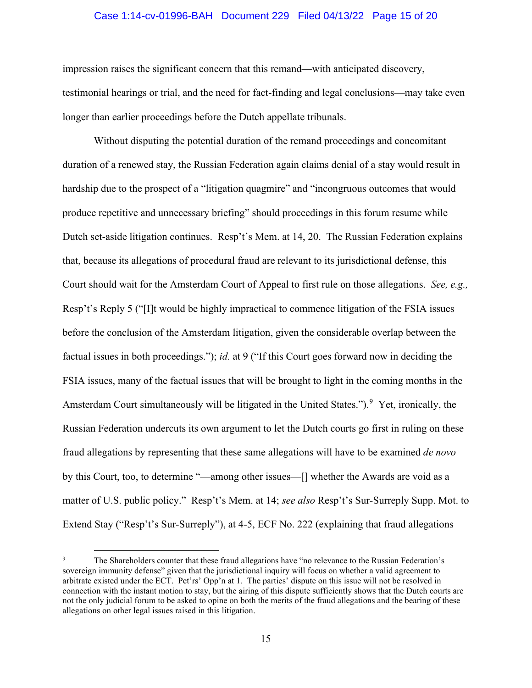# Case 1:14-cv-01996-BAH Document 229 Filed 04/13/22 Page 15 of 20

impression raises the significant concern that this remand—with anticipated discovery, testimonial hearings or trial, and the need for fact-finding and legal conclusions—may take even longer than earlier proceedings before the Dutch appellate tribunals.

Without disputing the potential duration of the remand proceedings and concomitant duration of a renewed stay, the Russian Federation again claims denial of a stay would result in hardship due to the prospect of a "litigation quagmire" and "incongruous outcomes that would produce repetitive and unnecessary briefing" should proceedings in this forum resume while Dutch set-aside litigation continues. Resp't's Mem. at 14, 20. The Russian Federation explains that, because its allegations of procedural fraud are relevant to its jurisdictional defense, this Court should wait for the Amsterdam Court of Appeal to first rule on those allegations. *See, e.g.,* Resp't's Reply 5 ("[I]t would be highly impractical to commence litigation of the FSIA issues before the conclusion of the Amsterdam litigation, given the considerable overlap between the factual issues in both proceedings."); *id.* at 9 ("If this Court goes forward now in deciding the FSIA issues, many of the factual issues that will be brought to light in the coming months in the Amsterdam Court simultaneously will be litigated in the United States.").<sup>[9](#page-14-0)</sup> Yet, ironically, the Russian Federation undercuts its own argument to let the Dutch courts go first in ruling on these fraud allegations by representing that these same allegations will have to be examined *de novo* by this Court, too, to determine "—among other issues—[] whether the Awards are void as a matter of U.S. public policy." Resp't's Mem. at 14; *see also* Resp't's Sur-Surreply Supp. Mot. to Extend Stay ("Resp't's Sur-Surreply"), at 4-5, ECF No. 222 (explaining that fraud allegations

<span id="page-14-0"></span><sup>9</sup> The Shareholders counter that these fraud allegations have "no relevance to the Russian Federation's sovereign immunity defense" given that the jurisdictional inquiry will focus on whether a valid agreement to arbitrate existed under the ECT. Pet'rs' Opp'n at 1. The parties' dispute on this issue will not be resolved in connection with the instant motion to stay, but the airing of this dispute sufficiently shows that the Dutch courts are not the only judicial forum to be asked to opine on both the merits of the fraud allegations and the bearing of these allegations on other legal issues raised in this litigation.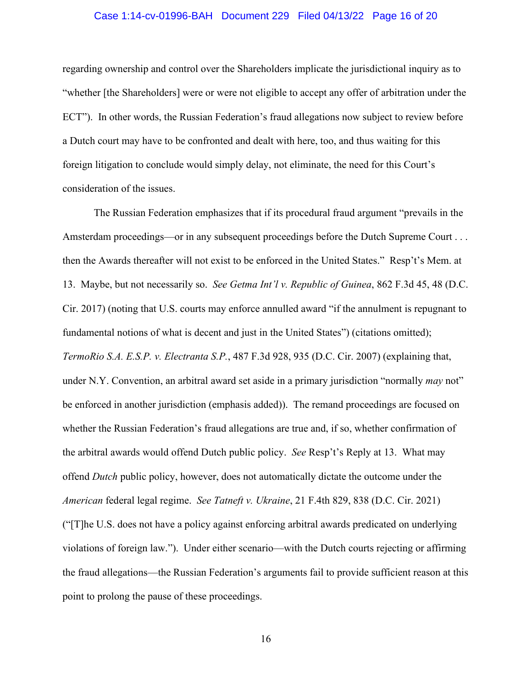# Case 1:14-cv-01996-BAH Document 229 Filed 04/13/22 Page 16 of 20

regarding ownership and control over the Shareholders implicate the jurisdictional inquiry as to "whether [the Shareholders] were or were not eligible to accept any offer of arbitration under the ECT"). In other words, the Russian Federation's fraud allegations now subject to review before a Dutch court may have to be confronted and dealt with here, too, and thus waiting for this foreign litigation to conclude would simply delay, not eliminate, the need for this Court's consideration of the issues.

The Russian Federation emphasizes that if its procedural fraud argument "prevails in the Amsterdam proceedings—or in any subsequent proceedings before the Dutch Supreme Court . . . then the Awards thereafter will not exist to be enforced in the United States." Resp't's Mem. at 13. Maybe, but not necessarily so. *See Getma Int'l v. Republic of Guinea*, 862 F.3d 45, 48 (D.C. Cir. 2017) (noting that U.S. courts may enforce annulled award "if the annulment is repugnant to fundamental notions of what is decent and just in the United States") (citations omitted); *TermoRio S.A. E.S.P. v. Electranta S.P.*, 487 F.3d 928, 935 (D.C. Cir. 2007) (explaining that, under N.Y. Convention, an arbitral award set aside in a primary jurisdiction "normally *may* not" be enforced in another jurisdiction (emphasis added)). The remand proceedings are focused on whether the Russian Federation's fraud allegations are true and, if so, whether confirmation of the arbitral awards would offend Dutch public policy. *See* Resp't's Reply at 13.What may offend *Dutch* public policy, however, does not automatically dictate the outcome under the *American* federal legal regime.*See Tatneft v. Ukraine*, 21 F.4th 829, 838 (D.C. Cir. 2021) ("[T]he U.S. does not have a policy against enforcing arbitral awards predicated on underlying violations of foreign law."). Under either scenario—with the Dutch courts rejecting or affirming the fraud allegations—the Russian Federation's arguments fail to provide sufficient reason at this point to prolong the pause of these proceedings.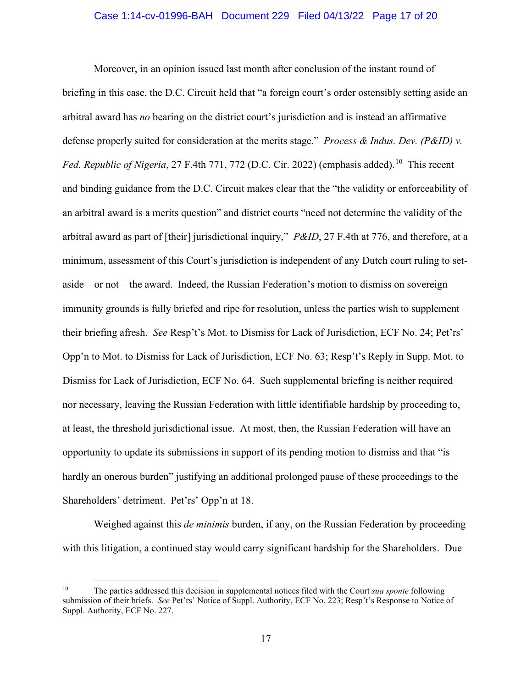# Case 1:14-cv-01996-BAH Document 229 Filed 04/13/22 Page 17 of 20

Moreover, in an opinion issued last month after conclusion of the instant round of briefing in this case, the D.C. Circuit held that "a foreign court's order ostensibly setting aside an arbitral award has *no* bearing on the district court's jurisdiction and is instead an affirmative defense properly suited for consideration at the merits stage." *Process & Indus. Dev. (P&ID) v.*  Fed. Republic of Nigeria, 27 F.4th 771, 772 (D.C. Cir. 2022) (emphasis added).<sup>[10](#page-16-0)</sup> This recent and binding guidance from the D.C. Circuit makes clear that the "the validity or enforceability of an arbitral award is a merits question" and district courts "need not determine the validity of the arbitral award as part of [their] jurisdictional inquiry," *P&ID*, 27 F.4th at 776, and therefore, at a minimum, assessment of this Court's jurisdiction is independent of any Dutch court ruling to setaside—or not—the award. Indeed, the Russian Federation's motion to dismiss on sovereign immunity grounds is fully briefed and ripe for resolution, unless the parties wish to supplement their briefing afresh. *See* Resp't's Mot. to Dismiss for Lack of Jurisdiction, ECF No. 24; Pet'rs' Opp'n to Mot. to Dismiss for Lack of Jurisdiction, ECF No. 63; Resp't's Reply in Supp. Mot. to Dismiss for Lack of Jurisdiction, ECF No. 64. Such supplemental briefing is neither required nor necessary, leaving the Russian Federation with little identifiable hardship by proceeding to, at least, the threshold jurisdictional issue. At most, then, the Russian Federation will have an opportunity to update its submissions in support of its pending motion to dismiss and that "is hardly an onerous burden" justifying an additional prolonged pause of these proceedings to the Shareholders' detriment. Pet'rs' Opp'n at 18.

Weighed against this *de minimis* burden, if any, on the Russian Federation by proceeding with this litigation, a continued stay would carry significant hardship for the Shareholders. Due

<span id="page-16-0"></span><sup>10</sup> The parties addressed this decision in supplemental notices filed with the Court *sua sponte* following submission of their briefs. *See* Pet'rs' Notice of Suppl. Authority, ECF No. 223; Resp't's Response to Notice of Suppl. Authority, ECF No. 227.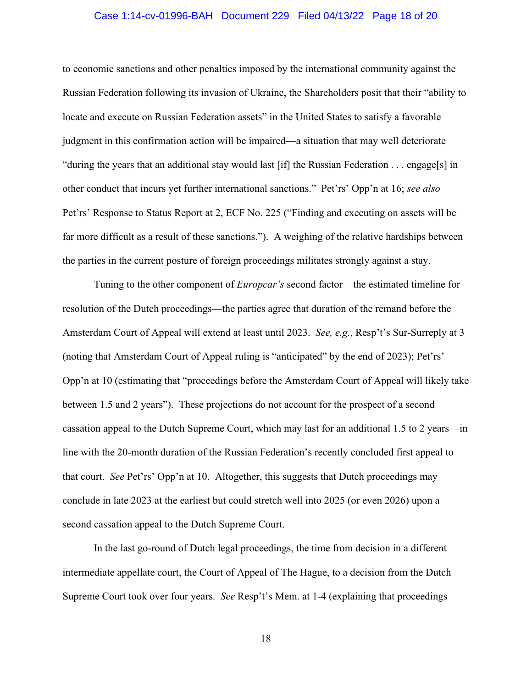# Case 1:14-cv-01996-BAH Document 229 Filed 04/13/22 Page 18 of 20

to economic sanctions and other penalties imposed by the international community against the Russian Federation following its invasion of Ukraine, the Shareholders posit that their "ability to locate and execute on Russian Federation assets" in the United States to satisfy a favorable judgment in this confirmation action will be impaired—a situation that may well deteriorate "during the years that an additional stay would last [if] the Russian Federation  $\ldots$  engage[s] in other conduct that incurs yet further international sanctions." Pet'rs' Opp'n at 16; *see also* Pet'rs' Response to Status Report at 2, ECF No. 225 ("Finding and executing on assets will be far more difficult as a result of these sanctions."). A weighing of the relative hardships between the parties in the current posture of foreign proceedings militates strongly against a stay.

Tuning to the other component of *Europcar's* second factor—the estimated timeline for resolution of the Dutch proceedings—the parties agree that duration of the remand before the Amsterdam Court of Appeal will extend at least until 2023. *See, e.g.*, Resp't's Sur-Surreply at 3 (noting that Amsterdam Court of Appeal ruling is "anticipated" by the end of 2023); Pet'rs' Opp'n at 10 (estimating that "proceedings before the Amsterdam Court of Appeal will likely take between 1.5 and 2 years"). These projections do not account for the prospect of a second cassation appeal to the Dutch Supreme Court, which may last for an additional 1.5 to 2 years—in line with the 20-month duration of the Russian Federation's recently concluded first appeal to that court. *See* Pet'rs' Opp'n at 10. Altogether, this suggests that Dutch proceedings may conclude in late 2023 at the earliest but could stretch well into 2025 (or even 2026) upon a second cassation appeal to the Dutch Supreme Court.

In the last go-round of Dutch legal proceedings, the time from decision in a different intermediate appellate court, the Court of Appeal of The Hague, to a decision from the Dutch Supreme Court took over four years. *See* Resp't's Mem. at 1-4 (explaining that proceedings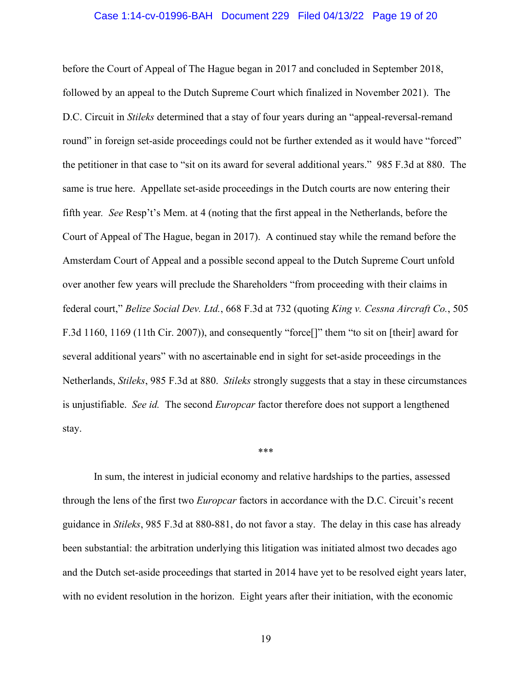# Case 1:14-cv-01996-BAH Document 229 Filed 04/13/22 Page 19 of 20

before the Court of Appeal of The Hague began in 2017 and concluded in September 2018, followed by an appeal to the Dutch Supreme Court which finalized in November 2021). The D.C. Circuit in *Stileks* determined that a stay of four years during an "appeal-reversal-remand round" in foreign set-aside proceedings could not be further extended as it would have "forced" the petitioner in that case to "sit on its award for several additional years." 985 F.3d at 880. The same is true here. Appellate set-aside proceedings in the Dutch courts are now entering their fifth year*. See* Resp't's Mem. at 4 (noting that the first appeal in the Netherlands, before the Court of Appeal of The Hague, began in 2017). A continued stay while the remand before the Amsterdam Court of Appeal and a possible second appeal to the Dutch Supreme Court unfold over another few years will preclude the Shareholders "from proceeding with their claims in federal court," *Belize Social Dev. Ltd.*, 668 F.3d at 732 (quoting *King v. Cessna Aircraft Co.*, 505 F.3d 1160, 1169 (11th Cir. 2007)), and consequently "force[]" them "to sit on [their] award for several additional years" with no ascertainable end in sight for set-aside proceedings in the Netherlands, *Stileks*, 985 F.3d at 880. *Stileks* strongly suggests that a stay in these circumstances is unjustifiable. *See id.* The second *Europcar* factor therefore does not support a lengthened stay.

#### \*\*\*

In sum, the interest in judicial economy and relative hardships to the parties, assessed through the lens of the first two *Europcar* factors in accordance with the D.C. Circuit's recent guidance in *Stileks*, 985 F.3d at 880-881, do not favor a stay. The delay in this case has already been substantial: the arbitration underlying this litigation was initiated almost two decades ago and the Dutch set-aside proceedings that started in 2014 have yet to be resolved eight years later, with no evident resolution in the horizon. Eight years after their initiation, with the economic